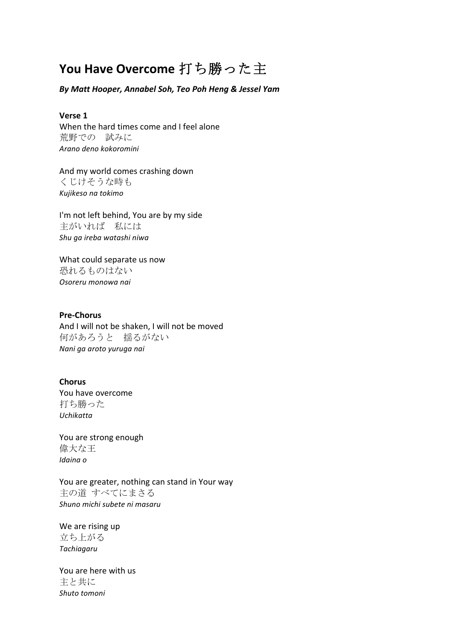# **You Have Overcome** 打ち勝った主

*By Matt Hooper, Annabel Soh, Teo Poh Heng & Jessel Yam*

### **Verse 1**

When the hard times come and I feel alone 荒野での 試みに *Arano deno kokoromini*

And my world comes crashing down くじけそうな時も *Kujikeso na tokimo*

I'm not left behind, You are by my side 主がいれば 私には *Shu ga ireba watashi niwa*

What could separate us now 恐れるものはない *Osoreru monowa nai*

## **Pre-Chorus**

And I will not be shaken, I will not be moved 何があろうと 揺るがない *Nani ga aroto yuruga nai*

### **Chorus**

You have overcome 打ち勝った *Uchikatta*

You are strong enough 偉大な王 *Idaina o*

You are greater, nothing can stand in Your way 主の道 すべてにまさる *Shuno michi subete ni masaru*

We are rising up 立ち上がる *Tachiagaru*

You are here with us 主と共に *Shuto tomoni*